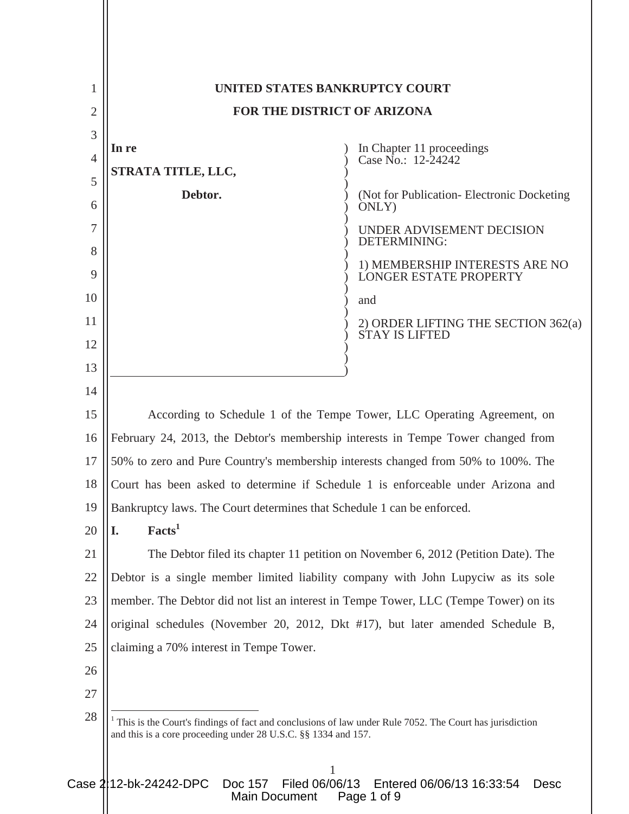| 1              | UNITED STATES BANKRUPTCY COURT                                                                                                                                                            |                                                                         |
|----------------|-------------------------------------------------------------------------------------------------------------------------------------------------------------------------------------------|-------------------------------------------------------------------------|
| $\overline{2}$ | FOR THE DISTRICT OF ARIZONA                                                                                                                                                               |                                                                         |
| 3              |                                                                                                                                                                                           |                                                                         |
| $\overline{4}$ | In re                                                                                                                                                                                     | In Chapter 11 proceedings<br>Case No.: 12-24242                         |
| 5              | STRATA TITLE, LLC,                                                                                                                                                                        |                                                                         |
| 6              | Debtor.                                                                                                                                                                                   | (Not for Publication - Electronic Docketing)<br>ONLY)                   |
| 7<br>8         |                                                                                                                                                                                           | UNDER ADVISEMENT DECISION<br>DETERMINING:                               |
| 9              |                                                                                                                                                                                           | 1) MEMBERSHIP INTERESTS ARE NO<br><b>LONGER ESTATE PROPERTY</b>         |
| 10             |                                                                                                                                                                                           | and                                                                     |
| 11             |                                                                                                                                                                                           | 2) ORDER LIFTING THE SECTION 362(a)<br><b>STAY IS LIFTED</b>            |
| 12<br>13       |                                                                                                                                                                                           |                                                                         |
| 14             |                                                                                                                                                                                           |                                                                         |
| 15             |                                                                                                                                                                                           | According to Schedule 1 of the Tempe Tower, LLC Operating Agreement, on |
| 16             | February 24, 2013, the Debtor's membership interests in Tempe Tower changed from                                                                                                          |                                                                         |
| 17             | 50% to zero and Pure Country's membership interests changed from 50% to 100%. The                                                                                                         |                                                                         |
| 18             | Court has been asked to determine if Schedule 1 is enforceable under Arizona and                                                                                                          |                                                                         |
| 19             | Bankruptcy laws. The Court determines that Schedule 1 can be enforced.                                                                                                                    |                                                                         |
| 20             | Facts <sup>1</sup><br>I.                                                                                                                                                                  |                                                                         |
| 21             | The Debtor filed its chapter 11 petition on November 6, 2012 (Petition Date). The                                                                                                         |                                                                         |
| 22             | Debtor is a single member limited liability company with John Lupyciw as its sole                                                                                                         |                                                                         |
| 23             | member. The Debtor did not list an interest in Tempe Tower, LLC (Tempe Tower) on its                                                                                                      |                                                                         |
| 24             | original schedules (November 20, 2012, Dkt #17), but later amended Schedule B,                                                                                                            |                                                                         |
| 25             | claiming a 70% interest in Tempe Tower.                                                                                                                                                   |                                                                         |
| 26             |                                                                                                                                                                                           |                                                                         |
| 27             |                                                                                                                                                                                           |                                                                         |
| 28             | This is the Court's findings of fact and conclusions of law under Rule 7052. The Court has jurisdiction<br>and this is a core proceeding under 28 U.S.C. §§ 1334 and 157.<br>$\mathbf{1}$ |                                                                         |

Case 2|12-bk-24242-DPC Doc 157 Filed 06/06/13 Entered 06/06/13 16:33:54 Desc Main Document Page 1 of 9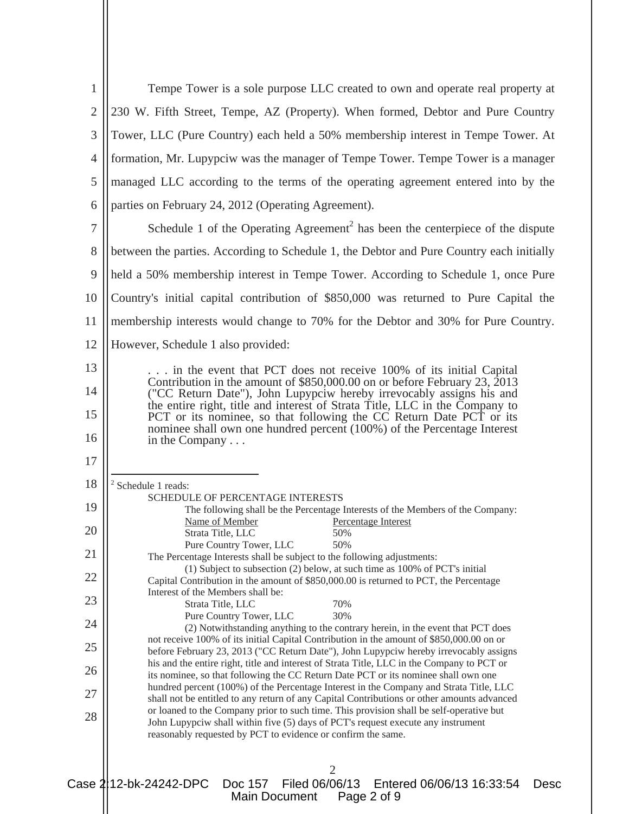| $\mathbf{1}$     | Tempe Tower is a sole purpose LLC created to own and operate real property at                                                                                                                                                                                                                           |  |  |
|------------------|---------------------------------------------------------------------------------------------------------------------------------------------------------------------------------------------------------------------------------------------------------------------------------------------------------|--|--|
| $\mathfrak{2}$   | 230 W. Fifth Street, Tempe, AZ (Property). When formed, Debtor and Pure Country                                                                                                                                                                                                                         |  |  |
| 3                | Tower, LLC (Pure Country) each held a 50% membership interest in Tempe Tower. At                                                                                                                                                                                                                        |  |  |
| $\overline{4}$   | formation, Mr. Lupypciw was the manager of Tempe Tower. Tempe Tower is a manager                                                                                                                                                                                                                        |  |  |
| 5                | managed LLC according to the terms of the operating agreement entered into by the                                                                                                                                                                                                                       |  |  |
| 6                | parties on February 24, 2012 (Operating Agreement).                                                                                                                                                                                                                                                     |  |  |
| $\boldsymbol{7}$ | Schedule 1 of the Operating Agreement <sup>2</sup> has been the centerpiece of the dispute                                                                                                                                                                                                              |  |  |
| 8                | between the parties. According to Schedule 1, the Debtor and Pure Country each initially                                                                                                                                                                                                                |  |  |
| 9                | held a 50% membership interest in Tempe Tower. According to Schedule 1, once Pure                                                                                                                                                                                                                       |  |  |
| 10               | Country's initial capital contribution of \$850,000 was returned to Pure Capital the                                                                                                                                                                                                                    |  |  |
| 11               | membership interests would change to 70% for the Debtor and 30% for Pure Country.                                                                                                                                                                                                                       |  |  |
| 12               | However, Schedule 1 also provided:                                                                                                                                                                                                                                                                      |  |  |
| 13               | in the event that PCT does not receive 100% of its initial Capital                                                                                                                                                                                                                                      |  |  |
| 14               | Contribution in the amount of \$850,000.00 on or before February 23, 2013<br>("CC Return Date"), John Lupypciw hereby irrevocably assigns his and<br>the entire right, title and interest of Strata Title, LLC in the Company to<br>PCT or its nominee, so that following the CC Return Date PCT or its |  |  |
| 15               |                                                                                                                                                                                                                                                                                                         |  |  |
| 16               | nominee shall own one hundred percent (100%) of the Percentage Interest<br>in the Company $\dots$                                                                                                                                                                                                       |  |  |
| 17               |                                                                                                                                                                                                                                                                                                         |  |  |
| 18               | $2$ Schedule 1 reads:<br><b>SCHEDULE OF PERCENTAGE INTERESTS</b>                                                                                                                                                                                                                                        |  |  |
| 19               | The following shall be the Percentage Interests of the Members of the Company:<br>Name of Member<br>Percentage Interest                                                                                                                                                                                 |  |  |
| 20               | Strata Title, LLC<br>50%<br>Pure Country Tower, LLC<br>50%                                                                                                                                                                                                                                              |  |  |
| 21               | The Percentage Interests shall be subject to the following adjustments:<br>(1) Subject to subsection (2) below, at such time as 100% of PCT's initial                                                                                                                                                   |  |  |
| 22               | Capital Contribution in the amount of \$850,000.00 is returned to PCT, the Percentage<br>Interest of the Members shall be:                                                                                                                                                                              |  |  |
| 23               | 70%<br>Strata Title, LLC                                                                                                                                                                                                                                                                                |  |  |
| 24               | 30%<br>Pure Country Tower, LLC<br>(2) Notwithstanding anything to the contrary herein, in the event that PCT does                                                                                                                                                                                       |  |  |
| 25               | not receive 100% of its initial Capital Contribution in the amount of \$850,000.00 on or<br>before February 23, 2013 ("CC Return Date"), John Lupypciw hereby irrevocably assigns                                                                                                                       |  |  |
| 26               | his and the entire right, title and interest of Strata Title, LLC in the Company to PCT or<br>its nominee, so that following the CC Return Date PCT or its nominee shall own one                                                                                                                        |  |  |
| 27               | hundred percent (100%) of the Percentage Interest in the Company and Strata Title, LLC<br>shall not be entitled to any return of any Capital Contributions or other amounts advanced                                                                                                                    |  |  |
| 28               | or loaned to the Company prior to such time. This provision shall be self-operative but<br>John Lupypciw shall within five (5) days of PCT's request execute any instrument<br>reasonably requested by PCT to evidence or confirm the same.                                                             |  |  |
|                  |                                                                                                                                                                                                                                                                                                         |  |  |
|                  | 2<br>Case 2:12-bk-24242-DPC<br>Doc 157 Filed 06/06/13<br>Entered 06/06/13 16:33:54<br>Desc<br>Page 2 of 9<br>Main Document                                                                                                                                                                              |  |  |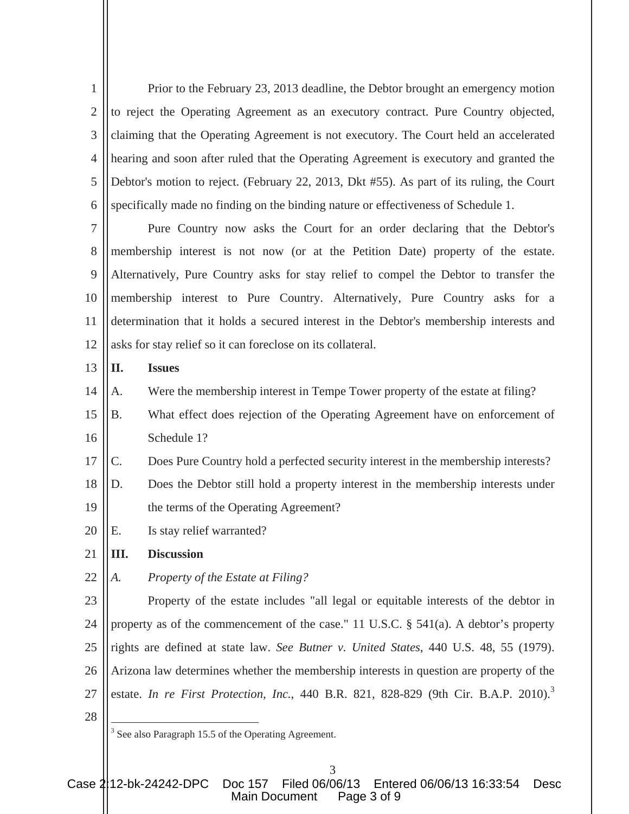1  $\mathcal{D}_{\mathcal{L}}$ 3 4 5 6 Prior to the February 23, 2013 deadline, the Debtor brought an emergency motion to reject the Operating Agreement as an executory contract. Pure Country objected, claiming that the Operating Agreement is not executory. The Court held an accelerated hearing and soon after ruled that the Operating Agreement is executory and granted the Debtor's motion to reject. (February 22, 2013, Dkt #55). As part of its ruling, the Court specifically made no finding on the binding nature or effectiveness of Schedule 1.

7 8 9 10 11 12 Pure Country now asks the Court for an order declaring that the Debtor's membership interest is not now (or at the Petition Date) property of the estate. Alternatively, Pure Country asks for stay relief to compel the Debtor to transfer the membership interest to Pure Country. Alternatively, Pure Country asks for a determination that it holds a secured interest in the Debtor's membership interests and asks for stay relief so it can foreclose on its collateral.

## 13 **II. Issues**

14 A. Were the membership interest in Tempe Tower property of the estate at filing?

- 15 16 B. What effect does rejection of the Operating Agreement have on enforcement of Schedule 1?
- 17 C. Does Pure Country hold a perfected security interest in the membership interests?
- 18 19 D. Does the Debtor still hold a property interest in the membership interests under the terms of the Operating Agreement?
- 20 E. Is stay relief warranted?

## 21 **III. Discussion**

22 *A. Property of the Estate at Filing?* 

23 24 25 26 27 Property of the estate includes "all legal or equitable interests of the debtor in property as of the commencement of the case." 11 U.S.C. § 541(a). A debtor's property rights are defined at state law. *See Butner v. United States*, 440 U.S. 48, 55 (1979). Arizona law determines whether the membership interests in question are property of the estate. *In re First Protection, Inc.*, 440 B.R. 821, 828-829 (9th Cir. B.A.P. 2010).<sup>3</sup>

<sup>28</sup>

<sup>&</sup>lt;sup>3</sup> See also Paragraph 15.5 of the Operating Agreement.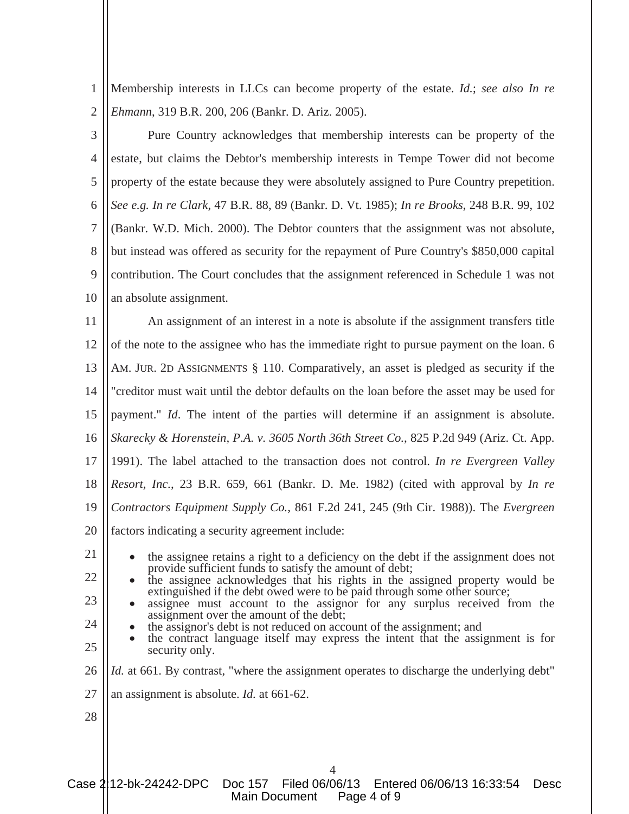1 2 Membership interests in LLCs can become property of the estate. *Id.*; *see also In re Ehmann*, 319 B.R. 200, 206 (Bankr. D. Ariz. 2005).

3 4 5 6 7 8 9 10 Pure Country acknowledges that membership interests can be property of the estate, but claims the Debtor's membership interests in Tempe Tower did not become property of the estate because they were absolutely assigned to Pure Country prepetition. *See e.g. In re Clark*, 47 B.R. 88, 89 (Bankr. D. Vt. 1985); *In re Brooks*, 248 B.R. 99, 102 (Bankr. W.D. Mich. 2000). The Debtor counters that the assignment was not absolute, but instead was offered as security for the repayment of Pure Country's \$850,000 capital contribution. The Court concludes that the assignment referenced in Schedule 1 was not an absolute assignment.

11 12 13 14 15 16 17 18 19 20 An assignment of an interest in a note is absolute if the assignment transfers title of the note to the assignee who has the immediate right to pursue payment on the loan. 6 AM. JUR. 2D ASSIGNMENTS § 110. Comparatively, an asset is pledged as security if the "creditor must wait until the debtor defaults on the loan before the asset may be used for payment." *Id*. The intent of the parties will determine if an assignment is absolute. *Skarecky & Horenstein, P.A. v. 3605 North 36th Street Co.*, 825 P.2d 949 (Ariz. Ct. App. 1991). The label attached to the transaction does not control. *In re Evergreen Valley Resort, Inc.*, 23 B.R. 659, 661 (Bankr. D. Me. 1982) (cited with approval by *In re Contractors Equipment Supply Co.*, 861 F.2d 241, 245 (9th Cir. 1988)). The *Evergreen*  factors indicating a security agreement include:

21

22

23

the assignee retains a right to a deficiency on the debt if the assignment does not provide sufficient funds to satisfy the amount of debt;

- the assignee acknowledges that his rights in the assigned property would be extinguished if the debt owed were to be paid through some other source; assignee must account to the assignor for any surplus received from the
- assignment over the amount of the debt;<br>the assignor's debt is not reduced on account of the assignment; and<br>the contract language itself may express the intent that the assignment is for
- 24
- 
- 25 security only.
- 26 *Id.* at 661. By contrast, "where the assignment operates to discharge the underlying debt"
- 27 an assignment is absolute. *Id.* at 661-62.
- 28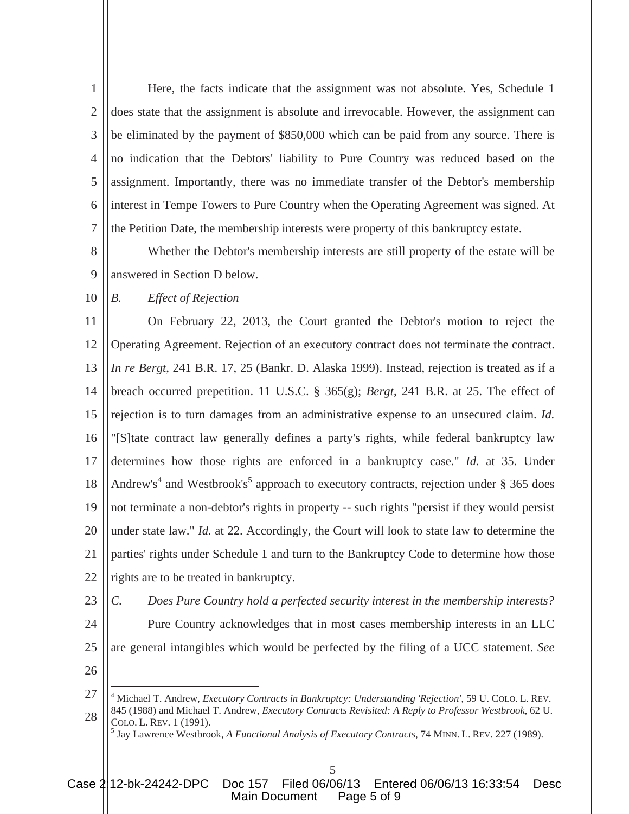1  $\mathcal{L}$ 3 4 5 6 7 Here, the facts indicate that the assignment was not absolute. Yes, Schedule 1 does state that the assignment is absolute and irrevocable. However, the assignment can be eliminated by the payment of \$850,000 which can be paid from any source. There is no indication that the Debtors' liability to Pure Country was reduced based on the assignment. Importantly, there was no immediate transfer of the Debtor's membership interest in Tempe Towers to Pure Country when the Operating Agreement was signed. At the Petition Date, the membership interests were property of this bankruptcy estate.

8 9 Whether the Debtor's membership interests are still property of the estate will be answered in Section D below.

10 *B. Effect of Rejection*

11 12 13 14 15 16 17 18 19 20 21 22 On February 22, 2013, the Court granted the Debtor's motion to reject the Operating Agreement. Rejection of an executory contract does not terminate the contract. *In re Bergt*, 241 B.R. 17, 25 (Bankr. D. Alaska 1999). Instead, rejection is treated as if a breach occurred prepetition. 11 U.S.C. § 365(g); *Bergt*, 241 B.R. at 25. The effect of rejection is to turn damages from an administrative expense to an unsecured claim. *Id.* "[S]tate contract law generally defines a party's rights, while federal bankruptcy law determines how those rights are enforced in a bankruptcy case." *Id.* at 35. Under Andrew's<sup>4</sup> and Westbrook's<sup>5</sup> approach to executory contracts, rejection under § 365 does not terminate a non-debtor's rights in property -- such rights "persist if they would persist under state law." *Id.* at 22. Accordingly, the Court will look to state law to determine the parties' rights under Schedule 1 and turn to the Bankruptcy Code to determine how those rights are to be treated in bankruptcy.

23 24

*C. Does Pure Country hold a perfected security interest in the membership interests?* Pure Country acknowledges that in most cases membership interests in an LLC are general intangibles which would be perfected by the filing of a UCC statement. *See* 

26

25

Case 2:12-bk-24242-DPC Doc 157 Filed 06/06/13 Entered 06/06/13 16:33:54 Desc Main Document Page 5 of 9

<sup>27</sup> 28 4 Michael T. Andrew, *Executory Contracts in Bankruptcy: Understanding 'Rejection'*, 59 U. COLO. L. REV. 845 (1988) and Michael T. Andrew, *Executory Contracts Revisited: A Reply to Professor Westbrook*, 62 U. COLO. L. REV. 1 (1991).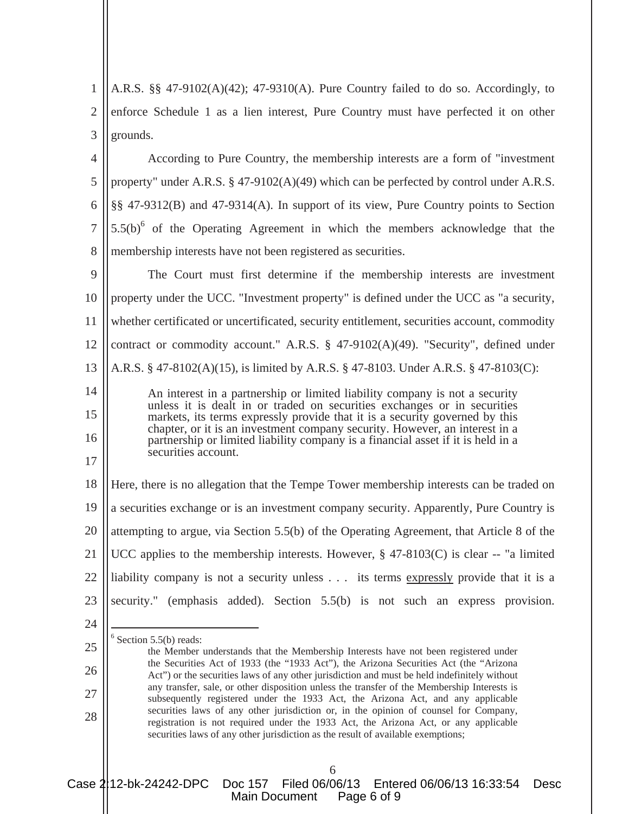1  $\mathcal{L}$ 3 A.R.S. §§ 47-9102(A)(42); 47-9310(A). Pure Country failed to do so. Accordingly, to enforce Schedule 1 as a lien interest, Pure Country must have perfected it on other grounds.

4 5 6 7 8 According to Pure Country, the membership interests are a form of "investment property" under  $A.R.S. \$ § 47-9102( $A$ )(49) which can be perfected by control under  $A.R.S.$ §§ 47-9312(B) and 47-9314(A). In support of its view, Pure Country points to Section  $5.5(b)$ <sup>6</sup> of the Operating Agreement in which the members acknowledge that the membership interests have not been registered as securities.

9 10 11 12 13 14 The Court must first determine if the membership interests are investment property under the UCC. "Investment property" is defined under the UCC as "a security, whether certificated or uncertificated, security entitlement, securities account, commodity contract or commodity account." A.R.S. § 47-9102(A)(49). "Security", defined under A.R.S. § 47-8102(A)(15), is limited by A.R.S. § 47-8103. Under A.R.S. § 47-8103(C): An interest in a partnership or limited liability company is not a security

unless it is dealt in or traded on securities exchanges or in securities markets, its terms expressly provide that it is a security governed by this chapter, or it is an investment company security. However, an interest in a partnership or limited liability company is a financial asset if it is held in a securities account.

18 19 20 21 22 23 Here, there is no allegation that the Tempe Tower membership interests can be traded on a securities exchange or is an investment company security. Apparently, Pure Country is attempting to argue, via Section 5.5(b) of the Operating Agreement, that Article 8 of the UCC applies to the membership interests. However,  $\S$  47-8103(C) is clear -- "a limited liability company is not a security unless . . . its terms expressly provide that it is a security." (emphasis added). Section 5.5(b) is not such an express provision.

24

25

26

27

28

15

16

17

 $6$  Section 5.5(b) reads:

Case 2:12-bk-24242-DPC Doc 157 Filed 06/06/13 Entered 06/06/13 16:33:54 Desc Main Document Page 6 of 9

the Member understands that the Membership Interests have not been registered under the Securities Act of 1933 (the "1933 Act"), the Arizona Securities Act (the "Arizona Act") or the securities laws of any other jurisdiction and must be held indefinitely without any transfer, sale, or other disposition unless the transfer of the Membership Interests is subsequently registered under the 1933 Act, the Arizona Act, and any applicable securities laws of any other jurisdiction or, in the opinion of counsel for Company, registration is not required under the 1933 Act, the Arizona Act, or any applicable securities laws of any other jurisdiction as the result of available exemptions;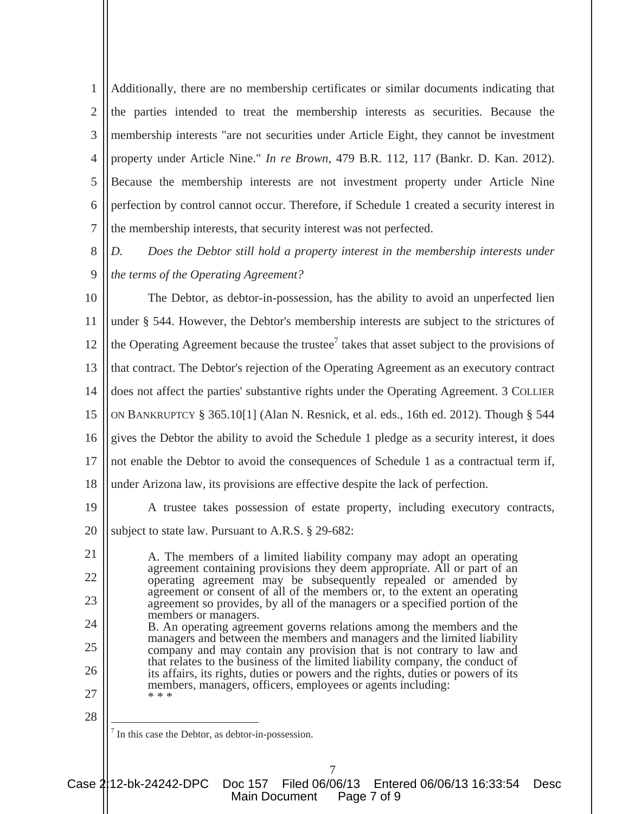1  $\mathcal{L}$ 3 4 5 6 7 Additionally, there are no membership certificates or similar documents indicating that the parties intended to treat the membership interests as securities. Because the membership interests "are not securities under Article Eight, they cannot be investment property under Article Nine." *In re Brown*, 479 B.R. 112, 117 (Bankr. D. Kan. 2012). Because the membership interests are not investment property under Article Nine perfection by control cannot occur. Therefore, if Schedule 1 created a security interest in the membership interests, that security interest was not perfected.

8 9 *D. Does the Debtor still hold a property interest in the membership interests under the terms of the Operating Agreement?* 

10 11 12 13 14 15 16 17 18 The Debtor, as debtor-in-possession, has the ability to avoid an unperfected lien under § 544. However, the Debtor's membership interests are subject to the strictures of the Operating Agreement because the trustee<sup>7</sup> takes that asset subject to the provisions of that contract. The Debtor's rejection of the Operating Agreement as an executory contract does not affect the parties' substantive rights under the Operating Agreement. 3 COLLIER ON BANKRUPTCY § 365.10[1] (Alan N. Resnick, et al. eds., 16th ed. 2012). Though § 544 gives the Debtor the ability to avoid the Schedule 1 pledge as a security interest, it does not enable the Debtor to avoid the consequences of Schedule 1 as a contractual term if, under Arizona law, its provisions are effective despite the lack of perfection.

19 20 A trustee takes possession of estate property, including executory contracts, subject to state law. Pursuant to A.R.S. § 29-682:

A. The members of a limited liability company may adopt an operating agreement containing provisions they deem appropriate. All or part of an operating agreement may be subsequently repealed or amended by agreement or consent of all of the members or, to the extent an operating agreement so provides, by all of the managers or a specified portion of the members or managers. B. An operating agreement governs relations among the members and the

managers and between the members and managers and the limited liability company and may contain any provision that is not contrary to law and that relates to the business of the limited liability company, the conduct of its affairs, its rights, duties or powers and the rights, duties or powers of its members, managers, officers, employees or agents including: \* \* \*

28

7

21

22

23

24

25

26

27

In this case the Debtor, as debtor-in-possession.

Case 2:12-bk-24242-DPC Doc 157 Filed 06/06/13 Entered 06/06/13 16:33:54 Desc Main Document Page 7 of 9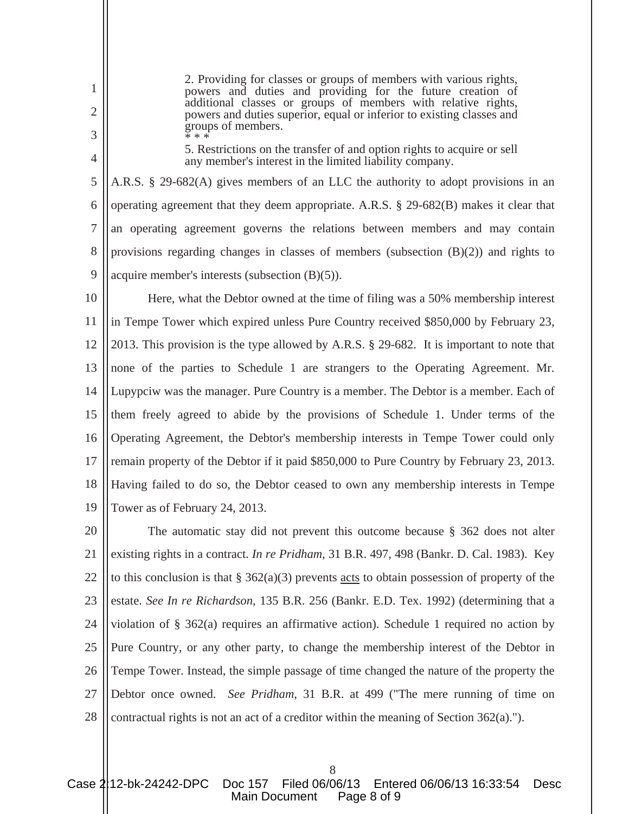powers and duties and providing for the future creation of additional classes or groups of members with relative rights, powers and duties superior, equal or inferior to existing classes and groups of members. \* \* \*

2. Providing for classes or groups of members with various rights,

5. Restrictions on the transfer of and option rights to acquire or sell any member's interest in the limited liability company.

5 6 7 8 9 A.R.S. § 29-682(A) gives members of an LLC the authority to adopt provisions in an operating agreement that they deem appropriate. A.R.S. § 29-682(B) makes it clear that an operating agreement governs the relations between members and may contain provisions regarding changes in classes of members (subsection  $(B)(2)$ ) and rights to acquire member's interests (subsection (B)(5)).

1

2

3

4

10 11 12 13 14 15 16 17 18 19 Here, what the Debtor owned at the time of filing was a 50% membership interest in Tempe Tower which expired unless Pure Country received \$850,000 by February 23, 2013. This provision is the type allowed by A.R.S. § 29-682. It is important to note that none of the parties to Schedule 1 are strangers to the Operating Agreement. Mr. Lupypciw was the manager. Pure Country is a member. The Debtor is a member. Each of them freely agreed to abide by the provisions of Schedule 1. Under terms of the Operating Agreement, the Debtor's membership interests in Tempe Tower could only remain property of the Debtor if it paid \$850,000 to Pure Country by February 23, 2013. Having failed to do so, the Debtor ceased to own any membership interests in Tempe Tower as of February 24, 2013.

20 21 22 23 24 25 26 27 28 The automatic stay did not prevent this outcome because § 362 does not alter existing rights in a contract. *In re Pridham*, 31 B.R. 497, 498 (Bankr. D. Cal. 1983). Key to this conclusion is that  $\S 362(a)(3)$  prevents acts to obtain possession of property of the estate. *See In re Richardson*, 135 B.R. 256 (Bankr. E.D. Tex. 1992) (determining that a violation of § 362(a) requires an affirmative action). Schedule 1 required no action by Pure Country, or any other party, to change the membership interest of the Debtor in Tempe Tower. Instead, the simple passage of time changed the nature of the property the Debtor once owned. *See Pridham*, 31 B.R. at 499 ("The mere running of time on contractual rights is not an act of a creditor within the meaning of Section 362(a).").